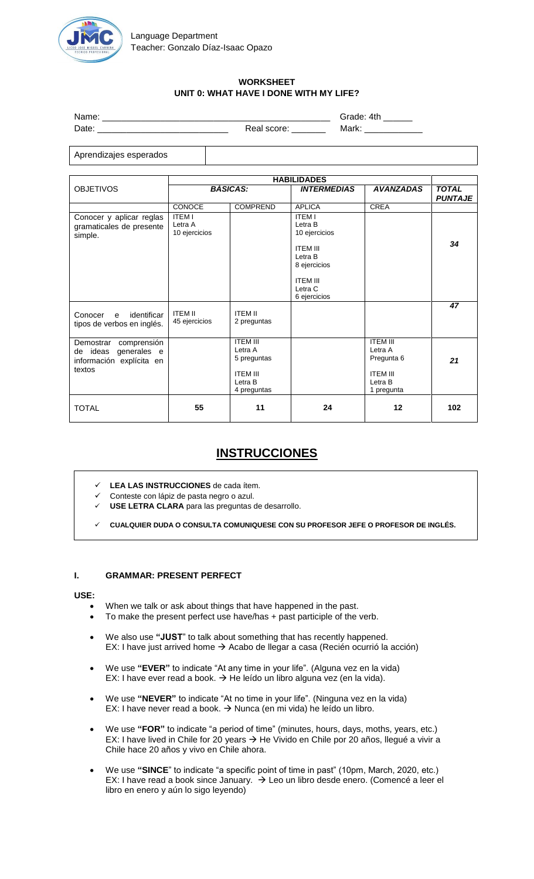

# **WORKSHEET UNIT 0: WHAT HAVE I DONE WITH MY LIFE?**

Name: \_\_\_\_\_\_\_\_\_\_\_\_\_\_\_\_\_\_\_\_\_\_\_\_\_\_\_\_\_\_\_\_\_\_\_\_\_\_\_\_\_\_\_\_\_\_\_ Grade: 4th \_\_\_\_\_\_ Date: \_\_\_\_\_\_\_\_\_\_\_\_\_\_\_\_\_\_\_\_\_\_\_\_\_\_\_ Real score: \_\_\_\_\_\_\_ Mark: \_\_\_\_\_\_\_\_\_\_\_\_

Aprendizajes esperados

|                                                                                           | <b>HABILIDADES</b>                        |                                                                                        |                                                                                                                       |                                                                                                 |                                |
|-------------------------------------------------------------------------------------------|-------------------------------------------|----------------------------------------------------------------------------------------|-----------------------------------------------------------------------------------------------------------------------|-------------------------------------------------------------------------------------------------|--------------------------------|
| <b>OBJETIVOS</b>                                                                          | <b>BÁSICAS:</b>                           |                                                                                        | <b>INTERMEDIAS</b>                                                                                                    | <b>AVANZADAS</b>                                                                                | <b>TOTAL</b><br><b>PUNTAJE</b> |
|                                                                                           | <b>CONOCE</b>                             | <b>COMPREND</b>                                                                        | <b>APLICA</b>                                                                                                         | <b>CREA</b>                                                                                     |                                |
| Conocer y aplicar reglas<br>gramaticales de presente<br>simple.                           | <b>ITEM I</b><br>Letra A<br>10 ejercicios |                                                                                        | <b>ITEM I</b><br>Letra B<br>10 ejercicios<br><b>ITEM III</b><br>Letra B<br>8 ejercicios<br><b>ITEM III</b><br>Letra C |                                                                                                 | 34                             |
|                                                                                           |                                           |                                                                                        | 6 ejercicios                                                                                                          |                                                                                                 |                                |
| identificar<br>Conocer<br>$\mathbf{e}$<br>tipos de verbos en inglés.                      | <b>ITEM II</b><br>45 ejercicios           | <b>ITEM II</b><br>2 preguntas                                                          |                                                                                                                       |                                                                                                 | 47                             |
| comprensión<br>Demostrar<br>generales e<br>de ideas<br>información explícita en<br>textos |                                           | <b>ITFM III</b><br>Letra A<br>5 preguntas<br><b>ITFM III</b><br>Letra B<br>4 preguntas |                                                                                                                       | <b>ITFM III</b><br>Letra A<br>Pregunta <sub>6</sub><br><b>ITEM III</b><br>Letra B<br>1 pregunta | 21                             |
| <b>TOTAL</b>                                                                              | 55                                        | 11                                                                                     | 24                                                                                                                    | 12                                                                                              | 102                            |

# **INSTRUCCIONES**

- **LEA LAS INSTRUCCIONES** de cada ítem.
- Conteste con lápiz de pasta negro o azul.
- **USE LETRA CLARA** para las preguntas de desarrollo.
- **CUALQUIER DUDA O CONSULTA COMUNIQUESE CON SU PROFESOR JEFE O PROFESOR DE INGLÉS.**

# **I. GRAMMAR: PRESENT PERFECT**

# **USE:**

- When we talk or ask about things that have happened in the past.
- To make the present perfect use have/has + past participle of the verb.
- We also use **"JUST**" to talk about something that has recently happened. EX: I have just arrived home  $\rightarrow$  Acabo de llegar a casa (Recién ocurrió la acción)
- We use **"EVER"** to indicate "At any time in your life". (Alguna vez en la vida) EX: I have ever read a book.  $\rightarrow$  He leído un libro alguna vez (en la vida).
- We use **"NEVER"** to indicate "At no time in your life". (Ninguna vez en la vida) EX: I have never read a book.  $\rightarrow$  Nunca (en mi vida) he leído un libro.
- We use **"FOR"** to indicate "a period of time" (minutes, hours, days, moths, years, etc.) EX: I have lived in Chile for 20 years  $\rightarrow$  He Vivido en Chile por 20 años, llegué a vivir a Chile hace 20 años y vivo en Chile ahora.
- We use **"SINCE**" to indicate "a specific point of time in past" (10pm, March, 2020, etc.) EX: I have read a book since January.  $\rightarrow$  Leo un libro desde enero. (Comencé a leer el libro en enero y aún lo sigo leyendo)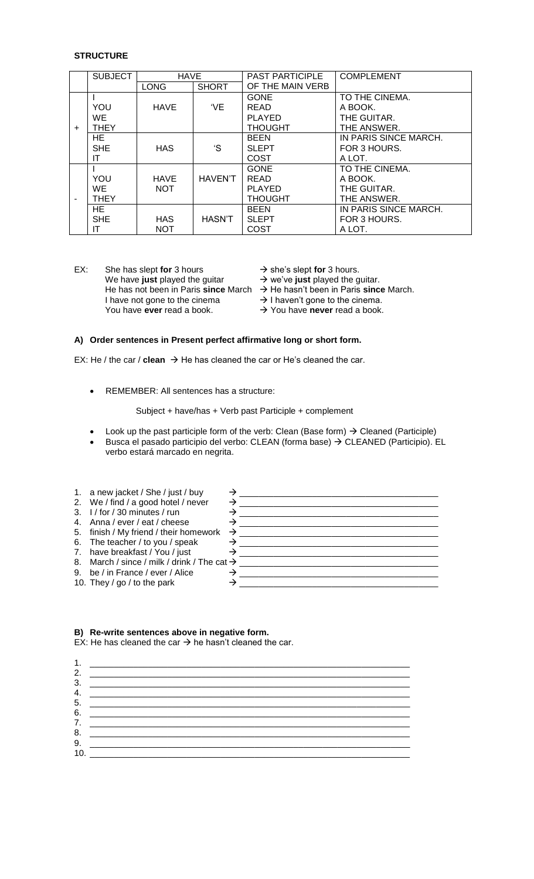#### **STRUCTURE**

|           | <b>SUBJECT</b> | <b>HAVE</b> |                | <b>PAST PARTICIPLE</b> | <b>COMPLEMENT</b>     |
|-----------|----------------|-------------|----------------|------------------------|-----------------------|
|           |                | <b>LONG</b> | <b>SHORT</b>   | OF THE MAIN VERB       |                       |
|           |                |             |                | <b>GONE</b>            | TO THE CINEMA.        |
|           | YOU            | <b>HAVE</b> | 'VE            | <b>READ</b>            | A BOOK.               |
|           | WE.            |             |                | <b>PLAYED</b>          | THE GUITAR.           |
| $\ddot{}$ | <b>THEY</b>    |             |                | <b>THOUGHT</b>         | THE ANSWER.           |
|           | HE.            |             |                | <b>BEEN</b>            | IN PARIS SINCE MARCH. |
|           | <b>SHE</b>     | <b>HAS</b>  | 'S             | <b>SLEPT</b>           | FOR 3 HOURS.          |
|           | IT             |             |                | <b>COST</b>            | A LOT.                |
|           |                |             |                | <b>GONE</b>            | TO THE CINEMA.        |
|           | YOU            | <b>HAVE</b> | <b>HAVEN'T</b> | <b>READ</b>            | A BOOK.               |
|           | WE.            | <b>NOT</b>  |                | <b>PLAYED</b>          | THE GUITAR.           |
|           | THEY           |             |                | <b>THOUGHT</b>         | THE ANSWER.           |
|           | HE.            |             |                | <b>BEEN</b>            | IN PARIS SINCE MARCH. |
|           | <b>SHE</b>     | <b>HAS</b>  | HASN'T         | <b>SLEPT</b>           | FOR 3 HOURS.          |
|           | ΙT             | <b>NOT</b>  |                | COST                   | A LOT.                |

EX: She has slept **for** 3 hours  $\rightarrow$  she's slept **for** 3 hours.<br>We have **just** played the guitar  $\rightarrow$  we've **just** played the guitar. We have **just** played the guitar He has not been in Paris **since** March  $\rightarrow$  He hasn't been in Paris **since** March.<br>I have not gone to the cinema  $\rightarrow$  I haven't gone to the cinema. I have not gone to the cinema. You have **ever** read a book. You have **never** read a book.

# **A) Order sentences in Present perfect affirmative long or short form.**

EX: He / the car / **clean**  $\rightarrow$  He has cleaned the car or He's cleaned the car.

REMEMBER: All sentences has a structure:

Subject + have/has + Verb past Participle + complement

- Look up the past participle form of the verb: Clean (Base form)  $\rightarrow$  Cleaned (Participle)
- Busca el pasado participio del verbo: CLEAN (forma base) → CLEANED (Participio). EL verbo estará marcado en negrita.

| 1. a new jacket / She / just / buy                      |   |  |
|---------------------------------------------------------|---|--|
| 2. We / find / a good hotel / never                     | → |  |
| 3. $1/$ for $/$ 30 minutes $/$ run                      |   |  |
| 4. Anna / ever / eat / cheese                           |   |  |
| 5. finish / My friend / their homework $\rightarrow$    |   |  |
| 6. The teacher / to you / speak                         |   |  |
| 7. have breakfast / You / just                          |   |  |
| 8. March / since / milk / drink / The cat $\rightarrow$ |   |  |
| 9. be / in France / ever / Alice                        |   |  |
| 10. They / go / to the park                             |   |  |
|                                                         |   |  |

#### **B) Re-write sentences above in negative form.**

EX: He has cleaned the car  $\rightarrow$  he hasn't cleaned the car.

| 1.  |  |
|-----|--|
| 2.  |  |
| 3.  |  |
| 4.  |  |
| 5.  |  |
| 6.  |  |
|     |  |
| 8.  |  |
| 9.  |  |
| 10. |  |
|     |  |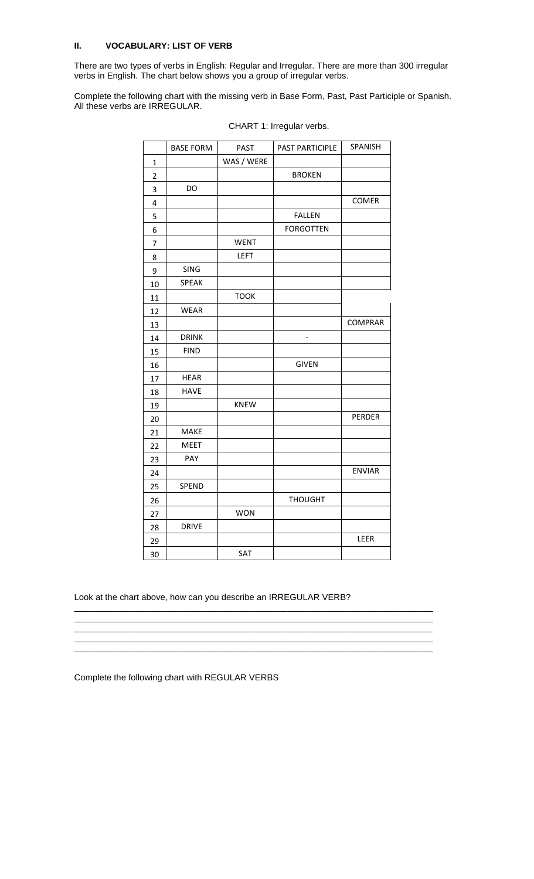# **II. VOCABULARY: LIST OF VERB**

There are two types of verbs in English: Regular and Irregular. There are more than 300 irregular verbs in English. The chart below shows you a group of irregular verbs.

Complete the following chart with the missing verb in Base Form, Past, Past Participle or Spanish. All these verbs are IRREGULAR.

|                | <b>BASE FORM</b> | <b>PAST</b> | PAST PARTICIPLE  | SPANISH        |
|----------------|------------------|-------------|------------------|----------------|
| 1              |                  | WAS / WERE  |                  |                |
| $\mathbf 2$    |                  |             | <b>BROKEN</b>    |                |
| 3              | DO               |             |                  |                |
| 4              |                  |             |                  | COMER          |
| 5              |                  |             | <b>FALLEN</b>    |                |
| 6              |                  |             | <b>FORGOTTEN</b> |                |
| $\overline{7}$ |                  | <b>WENT</b> |                  |                |
| 8              |                  | LEFT        |                  |                |
| 9              | <b>SING</b>      |             |                  |                |
| 10             | <b>SPEAK</b>     |             |                  |                |
| 11             |                  | <b>TOOK</b> |                  |                |
| 12             | <b>WEAR</b>      |             |                  |                |
| 13             |                  |             |                  | <b>COMPRAR</b> |
| 14             | <b>DRINK</b>     |             |                  |                |
| 15             | <b>FIND</b>      |             |                  |                |
| 16             |                  |             | <b>GIVEN</b>     |                |
| 17             | <b>HEAR</b>      |             |                  |                |
| 18             | <b>HAVE</b>      |             |                  |                |
| 19             |                  | <b>KNEW</b> |                  |                |
| 20             |                  |             |                  | PERDER         |
| 21             | MAKE             |             |                  |                |
| 22             | <b>MEET</b>      |             |                  |                |
| 23             | PAY              |             |                  |                |
| 24             |                  |             |                  | <b>ENVIAR</b>  |
| 25             | SPEND            |             |                  |                |
| 26             |                  |             | <b>THOUGHT</b>   |                |
| 27             |                  | <b>WON</b>  |                  |                |
| 28             | <b>DRIVE</b>     |             |                  |                |
| 29             |                  |             |                  | LEER           |
| 30             |                  | SAT         |                  |                |

CHART 1: Irregular verbs.

Look at the chart above, how can you describe an IRREGULAR VERB?

\_\_\_\_\_\_\_\_\_\_\_\_\_\_\_\_\_\_\_\_\_\_\_\_\_\_\_\_\_\_\_\_\_\_\_\_\_\_\_\_\_\_\_\_\_\_\_\_\_\_\_\_\_\_\_\_\_\_\_\_\_\_\_\_\_\_\_\_\_\_\_\_\_\_ \_\_\_\_\_\_\_\_\_\_\_\_\_\_\_\_\_\_\_\_\_\_\_\_\_\_\_\_\_\_\_\_\_\_\_\_\_\_\_\_\_\_\_\_\_\_\_\_\_\_\_\_\_\_\_\_\_\_\_\_\_\_\_\_\_\_\_\_\_\_\_\_\_\_ \_\_\_\_\_\_\_\_\_\_\_\_\_\_\_\_\_\_\_\_\_\_\_\_\_\_\_\_\_\_\_\_\_\_\_\_\_\_\_\_\_\_\_\_\_\_\_\_\_\_\_\_\_\_\_\_\_\_\_\_\_\_\_\_\_\_\_\_\_\_\_\_\_\_ \_\_\_\_\_\_\_\_\_\_\_\_\_\_\_\_\_\_\_\_\_\_\_\_\_\_\_\_\_\_\_\_\_\_\_\_\_\_\_\_\_\_\_\_\_\_\_\_\_\_\_\_\_\_\_\_\_\_\_\_\_\_\_\_\_\_\_\_\_\_\_\_\_\_ \_\_\_\_\_\_\_\_\_\_\_\_\_\_\_\_\_\_\_\_\_\_\_\_\_\_\_\_\_\_\_\_\_\_\_\_\_\_\_\_\_\_\_\_\_\_\_\_\_\_\_\_\_\_\_\_\_\_\_\_\_\_\_\_\_\_\_\_\_\_\_\_\_\_

Complete the following chart with REGULAR VERBS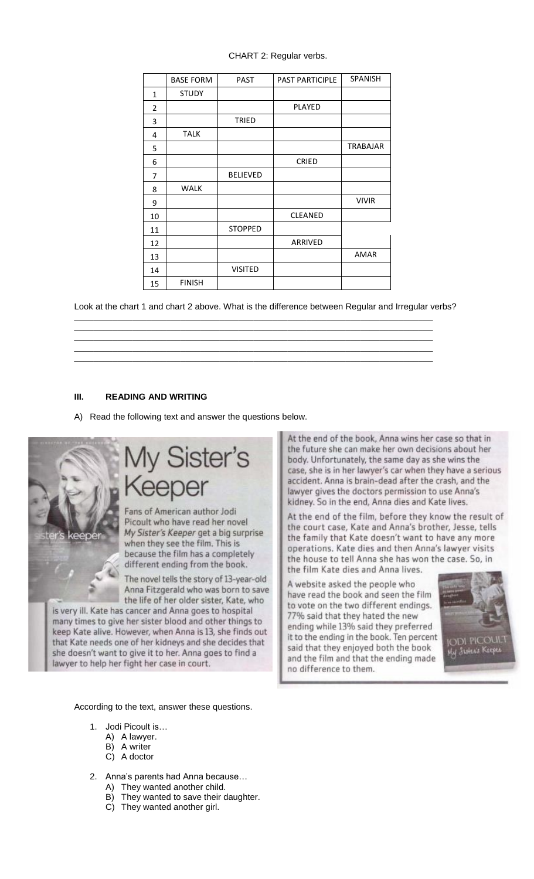# CHART 2: Regular verbs.

|              | <b>BASE FORM</b> | <b>PAST</b>     | <b>PAST PARTICIPLE</b> | <b>SPANISH</b>  |
|--------------|------------------|-----------------|------------------------|-----------------|
| $\mathbf{1}$ | <b>STUDY</b>     |                 |                        |                 |
| 2            |                  |                 | <b>PLAYED</b>          |                 |
| 3            |                  | TRIED           |                        |                 |
| 4            | <b>TALK</b>      |                 |                        |                 |
| 5            |                  |                 |                        | <b>TRABAJAR</b> |
| 6            |                  |                 | <b>CRIED</b>           |                 |
| 7            |                  | <b>BELIEVED</b> |                        |                 |
| 8            | <b>WALK</b>      |                 |                        |                 |
| 9            |                  |                 |                        | <b>VIVIR</b>    |
| 10           |                  |                 | CLEANED                |                 |
| 11           |                  | <b>STOPPED</b>  |                        |                 |
| 12           |                  |                 | ARRIVED                |                 |
| 13           |                  |                 |                        | <b>AMAR</b>     |
| 14           |                  | <b>VISITED</b>  |                        |                 |
| 15           | <b>FINISH</b>    |                 |                        |                 |

Look at the chart 1 and chart 2 above. What is the difference between Regular and Irregular verbs? \_\_\_\_\_\_\_\_\_\_\_\_\_\_\_\_\_\_\_\_\_\_\_\_\_\_\_\_\_\_\_\_\_\_\_\_\_\_\_\_\_\_\_\_\_\_\_\_\_\_\_\_\_\_\_\_\_\_\_\_\_\_\_\_\_\_\_\_\_\_\_\_\_\_

\_\_\_\_\_\_\_\_\_\_\_\_\_\_\_\_\_\_\_\_\_\_\_\_\_\_\_\_\_\_\_\_\_\_\_\_\_\_\_\_\_\_\_\_\_\_\_\_\_\_\_\_\_\_\_\_\_\_\_\_\_\_\_\_\_\_\_\_\_\_\_\_\_\_ \_\_\_\_\_\_\_\_\_\_\_\_\_\_\_\_\_\_\_\_\_\_\_\_\_\_\_\_\_\_\_\_\_\_\_\_\_\_\_\_\_\_\_\_\_\_\_\_\_\_\_\_\_\_\_\_\_\_\_\_\_\_\_\_\_\_\_\_\_\_\_\_\_\_ \_\_\_\_\_\_\_\_\_\_\_\_\_\_\_\_\_\_\_\_\_\_\_\_\_\_\_\_\_\_\_\_\_\_\_\_\_\_\_\_\_\_\_\_\_\_\_\_\_\_\_\_\_\_\_\_\_\_\_\_\_\_\_\_\_\_\_\_\_\_\_\_\_\_ \_\_\_\_\_\_\_\_\_\_\_\_\_\_\_\_\_\_\_\_\_\_\_\_\_\_\_\_\_\_\_\_\_\_\_\_\_\_\_\_\_\_\_\_\_\_\_\_\_\_\_\_\_\_\_\_\_\_\_\_\_\_\_\_\_\_\_\_\_\_\_\_\_\_

# **III. READING AND WRITING**

A) Read the following text and answer the questions below.



# / Sister's eper

Fans of American author Jodi Picoult who have read her novel My Sister's Keeper get a big surprise when they see the film. This is because the film has a completely different ending from the book.

The novel tells the story of 13-year-old Anna Fitzgerald who was born to save the life of her older sister, Kate, who

is very ill. Kate has cancer and Anna goes to hospital many times to give her sister blood and other things to keep Kate alive. However, when Anna is 13, she finds out that Kate needs one of her kidneys and she decides that she doesn't want to give it to her. Anna goes to find a lawyer to help her fight her case in court.

According to the text, answer these questions.

- 1. Jodi Picoult is…
	- A) A lawyer.
	- B) A writer
	- C) A doctor
- 2. Anna"s parents had Anna because…
	- A) They wanted another child.
	- B) They wanted to save their daughter.
	- C) They wanted another girl.

At the end of the book, Anna wins her case so that in the future she can make her own decisions about her body. Unfortunately, the same day as she wins the case, she is in her lawyer's car when they have a serious accident. Anna is brain-dead after the crash, and the lawyer gives the doctors permission to use Anna's kidney. So in the end, Anna dies and Kate lives.

At the end of the film, before they know the result of the court case, Kate and Anna's brother, Jesse, tells the family that Kate doesn't want to have any more operations. Kate dies and then Anna's lawyer visits the house to tell Anna she has won the case. So, in the film Kate dies and Anna lives.

A website asked the people who have read the book and seen the film to vote on the two different endings. 77% said that they hated the new ending while 13% said they preferred it to the ending in the book. Ten percent said that they enjoyed both the book and the film and that the ending made no difference to them.

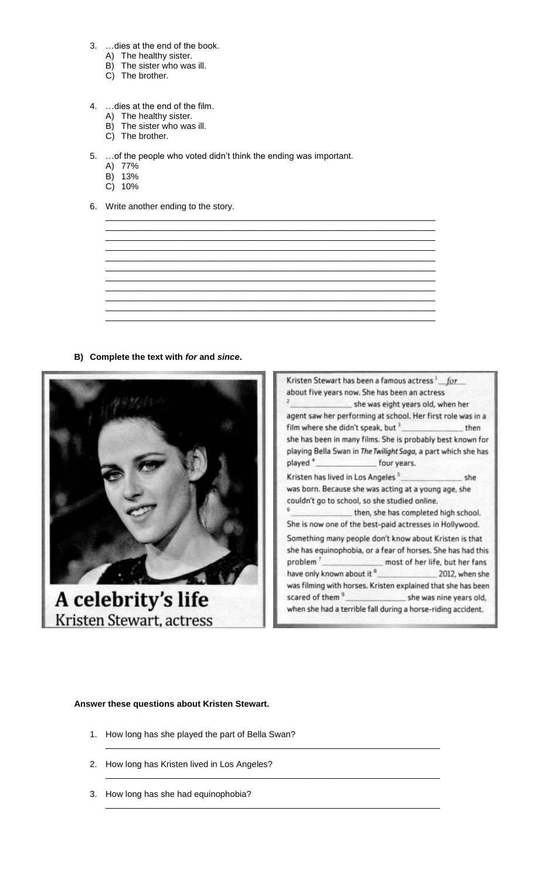- $3.$ ...dies at the end of the book.
	- A) The healthy sister.
	- B) The sister who was ill.
	- C) The brother.
- 4. ... dies at the end of the film.
	- A) The healthy sister.
	- B) The sister who was ill.
	- C) The brother.
- 5. ... of the people who voted didn't think the ending was important.
	- A) 77%
	- B) 13%
	- $C)$  10%
- 6. Write another ending to the story.
	-
- B) Complete the text with for and since.





# Answer these questions about Kristen Stewart.

- 1. How long has she played the part of Bella Swan?
- 2. How long has Kristen lived in Los Angeles?
- 3. How long has she had equinophobia?